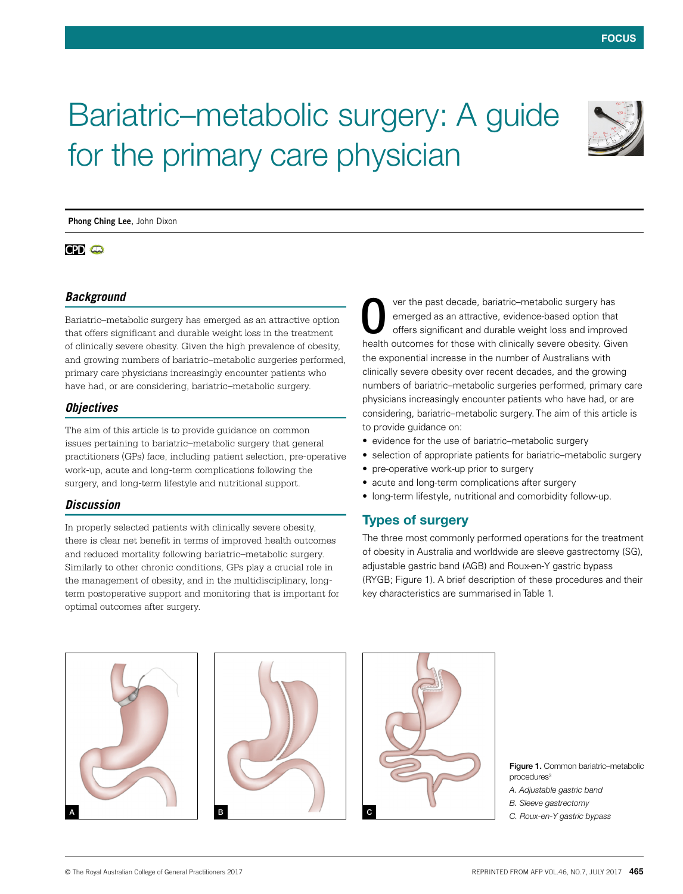

# Bariatric–metabolic surgery: A guide for the primary care physician

**Phong Ching Lee**, John Dixon

# $CPD$   $CD$

## *Background*

Bariatric–metabolic surgery has emerged as an attractive option that offers significant and durable weight loss in the treatment of clinically severe obesity. Given the high prevalence of obesity, and growing numbers of bariatric–metabolic surgeries performed, primary care physicians increasingly encounter patients who have had, or are considering, bariatric–metabolic surgery.

## *Objectives*

The aim of this article is to provide guidance on common issues pertaining to bariatric–metabolic surgery that general practitioners (GPs) face, including patient selection, pre‑operative work-up, acute and long-term complications following the surgery, and long-term lifestyle and nutritional support.

## *Discussion*

In properly selected patients with clinically severe obesity, there is clear net benefit in terms of improved health outcomes and reduced mortality following bariatric–metabolic surgery. Similarly to other chronic conditions, GPs play a crucial role in the management of obesity, and in the multidisciplinary, longterm postoperative support and monitoring that is important for optimal outcomes after surgery.

ver the past decade, bariatric–metabolic surgery has emerged as an attractive, evidence-based option that offers significant and durable weight loss and improved health outcomes for those with clinically severe obesity. Given the exponential increase in the number of Australians with clinically severe obesity over recent decades, and the growing numbers of bariatric–metabolic surgeries performed, primary care physicians increasingly encounter patients who have had, or are considering, bariatric–metabolic surgery. The aim of this article is to provide guidance on: O

- evidence for the use of bariatric–metabolic surgery
- selection of appropriate patients for bariatric–metabolic surgery
- pre-operative work-up prior to surgery
- acute and long-term complications after surgery
- long-term lifestyle, nutritional and comorbidity follow-up.

# Types of surgery

The three most commonly performed operations for the treatment of obesity in Australia and worldwide are sleeve gastrectomy (SG), adjustable gastric band (AGB) and Roux-en-Y gastric bypass (RYGB; Figure 1). A brief description of these procedures and their key characteristics are summarised in Table 1.







Figure 1. Common bariatric-metabolic procedures<sup>3</sup>

*A. Adjustable gastric band*

*B. Sleeve gastrectomy*

*C. Roux-en-Y gastric bypass*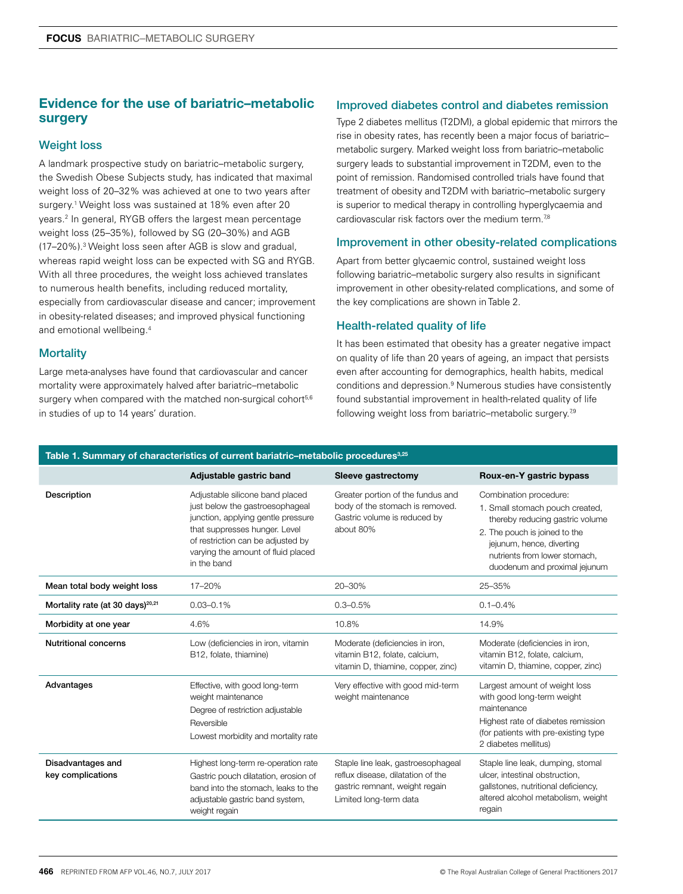# Evidence for the use of bariatric–metabolic surgery

## Weight loss

A landmark prospective study on bariatric–metabolic surgery, the Swedish Obese Subjects study, has indicated that maximal weight loss of 20–32% was achieved at one to two years after surgery.1 Weight loss was sustained at 18% even after 20 years.2 In general, RYGB offers the largest mean percentage weight loss (25–35%), followed by SG (20–30%) and AGB (17–20%).<sup>3</sup> Weight loss seen after AGB is slow and gradual, whereas rapid weight loss can be expected with SG and RYGB. With all three procedures, the weight loss achieved translates to numerous health benefits, including reduced mortality, especially from cardiovascular disease and cancer; improvement in obesity-related diseases; and improved physical functioning and emotional wellbeing.4

## **Mortality**

Large meta-analyses have found that cardiovascular and cancer mortality were approximately halved after bariatric–metabolic surgery when compared with the matched non-surgical cohort<sup>5,6</sup> in studies of up to 14 years' duration.

# Improved diabetes control and diabetes remission

Type 2 diabetes mellitus (T2DM), a global epidemic that mirrors the rise in obesity rates, has recently been a major focus of bariatric– metabolic surgery. Marked weight loss from bariatric–metabolic surgery leads to substantial improvement in T2DM, even to the point of remission. Randomised controlled trials have found that treatment of obesity and T2DM with bariatric–metabolic surgery is superior to medical therapy in controlling hyperglycaemia and cardiovascular risk factors over the medium term.<sup>78</sup>

## Improvement in other obesity-related complications

Apart from better glycaemic control, sustained weight loss following bariatric–metabolic surgery also results in significant improvement in other obesity-related complications, and some of the key complications are shown in Table 2.

## Health-related quality of life

It has been estimated that obesity has a greater negative impact on quality of life than 20 years of ageing, an impact that persists even after accounting for demographics, health habits, medical conditions and depression.9 Numerous studies have consistently found substantial improvement in health-related quality of life following weight loss from bariatric-metabolic surgery.<sup>7,9</sup>

| Table 1. Summary of characteristics of current bariatric–metabolic procedures <sup>3,25</sup> |                                                                                                                                                                                                                                     |                                                                                                                                     |                                                                                                                                                                                                                              |  |
|-----------------------------------------------------------------------------------------------|-------------------------------------------------------------------------------------------------------------------------------------------------------------------------------------------------------------------------------------|-------------------------------------------------------------------------------------------------------------------------------------|------------------------------------------------------------------------------------------------------------------------------------------------------------------------------------------------------------------------------|--|
|                                                                                               | Adjustable gastric band                                                                                                                                                                                                             | Sleeve gastrectomy                                                                                                                  | Roux-en-Y gastric bypass                                                                                                                                                                                                     |  |
| Description                                                                                   | Adjustable silicone band placed<br>just below the gastroesophageal<br>junction, applying gentle pressure<br>that suppresses hunger. Level<br>of restriction can be adjusted by<br>varying the amount of fluid placed<br>in the band | Greater portion of the fundus and<br>body of the stomach is removed.<br>Gastric volume is reduced by<br>about 80%                   | Combination procedure:<br>1. Small stomach pouch created,<br>thereby reducing gastric volume<br>2. The pouch is joined to the<br>jejunum, hence, diverting<br>nutrients from lower stomach.<br>duodenum and proximal jejunum |  |
| Mean total body weight loss                                                                   | 17-20%                                                                                                                                                                                                                              | 20-30%                                                                                                                              | 25-35%                                                                                                                                                                                                                       |  |
| Mortality rate (at 30 days) <sup>20,21</sup>                                                  | $0.03 - 0.1%$                                                                                                                                                                                                                       | $0.3 - 0.5%$                                                                                                                        | $0.1 - 0.4\%$                                                                                                                                                                                                                |  |
| Morbidity at one year                                                                         | 4.6%                                                                                                                                                                                                                                | 10.8%                                                                                                                               | 14.9%                                                                                                                                                                                                                        |  |
| <b>Nutritional concerns</b>                                                                   | Low (deficiencies in iron, vitamin<br>B12, folate, thiamine)                                                                                                                                                                        | Moderate (deficiencies in iron,<br>vitamin B12, folate, calcium,<br>vitamin D, thiamine, copper, zinc)                              | Moderate (deficiencies in iron,<br>vitamin B12, folate, calcium,<br>vitamin D, thiamine, copper, zinc)                                                                                                                       |  |
| Advantages                                                                                    | Effective, with good long-term<br>weight maintenance<br>Degree of restriction adjustable<br>Reversible<br>Lowest morbidity and mortality rate                                                                                       | Very effective with good mid-term<br>weight maintenance                                                                             | Largest amount of weight loss<br>with good long-term weight<br>maintenance<br>Highest rate of diabetes remission<br>(for patients with pre-existing type)<br>2 diabetes mellitus)                                            |  |
| Disadvantages and<br>key complications                                                        | Highest long-term re-operation rate<br>Gastric pouch dilatation, erosion of<br>band into the stomach, leaks to the<br>adjustable gastric band system,<br>weight regain                                                              | Staple line leak, gastroesophageal<br>reflux disease, dilatation of the<br>gastric remnant, weight regain<br>Limited long-term data | Staple line leak, dumping, stomal<br>ulcer, intestinal obstruction,<br>gallstones, nutritional deficiency,<br>altered alcohol metabolism, weight<br>regain                                                                   |  |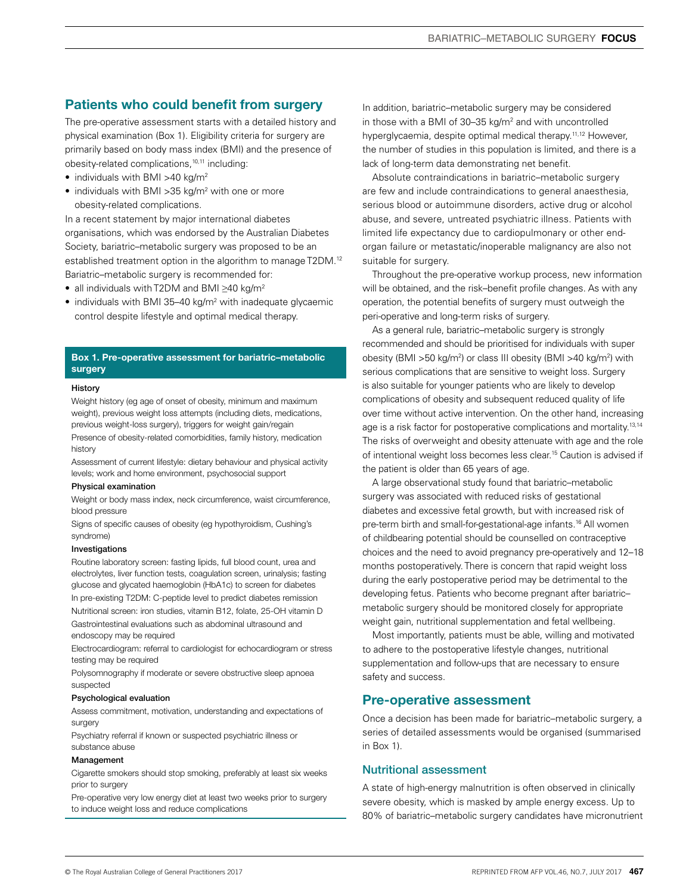# Patients who could benefit from surgery

The pre-operative assessment starts with a detailed history and physical examination (Box 1). Eligibility criteria for surgery are primarily based on body mass index (BMI) and the presence of obesity-related complications,10,11 including:

- $\bullet$  individuals with BMI >40 kg/m<sup>2</sup>
- individuals with BMI > 35 kg/m<sup>2</sup> with one or more obesity-related complications.

In a recent statement by major international diabetes organisations, which was endorsed by the Australian Diabetes Society, bariatric–metabolic surgery was proposed to be an established treatment option in the algorithm to manage T2DM.<sup>12</sup> Bariatric–metabolic surgery is recommended for:

- all individuals with T2DM and BMI ≥40 kg/m2
- $\bullet$  individuals with BMI 35–40 kg/m<sup>2</sup> with inadequate glycaemic control despite lifestyle and optimal medical therapy.

#### **Box 1. Pre-operative assessment for bariatric–metabolic surgery**

#### **History**

Weight history (eg age of onset of obesity, minimum and maximum weight), previous weight loss attempts (including diets, medications, previous weight-loss surgery), triggers for weight gain/regain

Presence of obesity-related comorbidities, family history, medication history

Assessment of current lifestyle: dietary behaviour and physical activity levels; work and home environment, psychosocial support

#### Physical examination

Weight or body mass index, neck circumference, waist circumference, blood pressure

Signs of specific causes of obesity (eg hypothyroidism, Cushing's syndrome)

## Investigations

Routine laboratory screen: fasting lipids, full blood count, urea and electrolytes, liver function tests, coagulation screen, urinalysis; fasting glucose and glycated haemoglobin (HbA1c) to screen for diabetes In pre-existing T2DM: C-peptide level to predict diabetes remission Nutritional screen: iron studies, vitamin B12, folate, 25-OH vitamin D Gastrointestinal evaluations such as abdominal ultrasound and endoscopy may be required

Electrocardiogram: referral to cardiologist for echocardiogram or stress testing may be required

Polysomnography if moderate or severe obstructive sleep apnoea suspected

#### Psychological evaluation

Assess commitment, motivation, understanding and expectations of surgery

Psychiatry referral if known or suspected psychiatric illness or substance abuse

#### Management

Cigarette smokers should stop smoking, preferably at least six weeks prior to surgery

Pre-operative very low energy diet at least two weeks prior to surgery to induce weight loss and reduce complications

In addition, bariatric–metabolic surgery may be considered in those with a BMI of 30–35 kg/m2 and with uncontrolled hyperglycaemia, despite optimal medical therapy.<sup>11,12</sup> However, the number of studies in this population is limited, and there is a lack of long-term data demonstrating net benefit.

Absolute contraindications in bariatric–metabolic surgery are few and include contraindications to general anaesthesia, serious blood or autoimmune disorders, active drug or alcohol abuse, and severe, untreated psychiatric illness. Patients with limited life expectancy due to cardiopulmonary or other endorgan failure or metastatic/inoperable malignancy are also not suitable for surgery.

Throughout the pre-operative workup process, new information will be obtained, and the risk–benefit profile changes. As with any operation, the potential benefits of surgery must outweigh the peri-operative and long-term risks of surgery.

As a general rule, bariatric–metabolic surgery is strongly recommended and should be prioritised for individuals with super obesity (BMI >50 kg/m<sup>2</sup>) or class III obesity (BMI >40 kg/m<sup>2</sup>) with serious complications that are sensitive to weight loss. Surgery is also suitable for younger patients who are likely to develop complications of obesity and subsequent reduced quality of life over time without active intervention. On the other hand, increasing age is a risk factor for postoperative complications and mortality.<sup>13,14</sup> The risks of overweight and obesity attenuate with age and the role of intentional weight loss becomes less clear.15 Caution is advised if the patient is older than 65 years of age.

A large observational study found that bariatric–metabolic surgery was associated with reduced risks of gestational diabetes and excessive fetal growth, but with increased risk of pre-term birth and small-for-gestational-age infants.16 All women of childbearing potential should be counselled on contraceptive choices and the need to avoid pregnancy pre-operatively and 12–18 months postoperatively. There is concern that rapid weight loss during the early postoperative period may be detrimental to the developing fetus. Patients who become pregnant after bariatric– metabolic surgery should be monitored closely for appropriate weight gain, nutritional supplementation and fetal wellbeing.

Most importantly, patients must be able, willing and motivated to adhere to the postoperative lifestyle changes, nutritional supplementation and follow-ups that are necessary to ensure safety and success.

## Pre-operative assessment

Once a decision has been made for bariatric–metabolic surgery, a series of detailed assessments would be organised (summarised in Box 1).

## Nutritional assessment

A state of high-energy malnutrition is often observed in clinically severe obesity, which is masked by ample energy excess. Up to 80% of bariatric–metabolic surgery candidates have micronutrient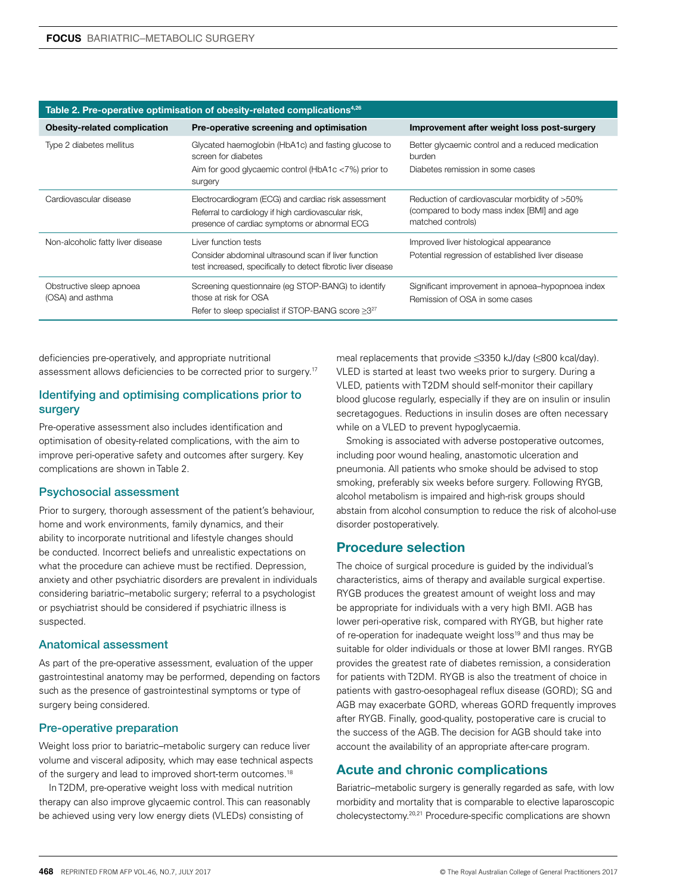| Table 2. Pre-operative optimisation of obesity-related complications <sup>4,26</sup> |                                                                                                                                                            |                                                                                                                  |  |  |
|--------------------------------------------------------------------------------------|------------------------------------------------------------------------------------------------------------------------------------------------------------|------------------------------------------------------------------------------------------------------------------|--|--|
| <b>Obesity-related complication</b>                                                  | Pre-operative screening and optimisation                                                                                                                   | Improvement after weight loss post-surgery                                                                       |  |  |
| Type 2 diabetes mellitus                                                             | Glycated haemoglobin (HbA1c) and fasting glucose to<br>screen for diabetes                                                                                 | Better glycaemic control and a reduced medication<br>burden                                                      |  |  |
|                                                                                      | Aim for good glycaemic control (HbA1c <7%) prior to<br>surgery                                                                                             | Diabetes remission in some cases                                                                                 |  |  |
| Cardiovascular disease                                                               | Electrocardiogram (ECG) and cardiac risk assessment<br>Referral to cardiology if high cardiovascular risk,<br>presence of cardiac symptoms or abnormal ECG | Reduction of cardiovascular morbidity of >50%<br>(compared to body mass index [BMI] and age<br>matched controls) |  |  |
| Non-alcoholic fatty liver disease                                                    | Liver function tests<br>Consider abdominal ultrasound scan if liver function<br>test increased, specifically to detect fibrotic liver disease              | Improved liver histological appearance<br>Potential regression of established liver disease                      |  |  |
| Obstructive sleep apnoea<br>(OSA) and asthma                                         | Screening questionnaire (eg STOP-BANG) to identify<br>those at risk for OSA<br>Refer to sleep specialist if STOP-BANG score $\geq 3^{27}$                  | Significant improvement in apnoea-hypopnoea index<br>Remission of OSA in some cases                              |  |  |

## **Table 2. Pre-operative optimisation of obesity-related complications4,26**

deficiencies pre-operatively, and appropriate nutritional assessment allows deficiencies to be corrected prior to surgery.17

## Identifying and optimising complications prior to surgery

Pre-operative assessment also includes identification and optimisation of obesity-related complications, with the aim to improve peri-operative safety and outcomes after surgery. Key complications are shown in Table 2.

## Psychosocial assessment

Prior to surgery, thorough assessment of the patient's behaviour, home and work environments, family dynamics, and their ability to incorporate nutritional and lifestyle changes should be conducted. Incorrect beliefs and unrealistic expectations on what the procedure can achieve must be rectified. Depression, anxiety and other psychiatric disorders are prevalent in individuals considering bariatric–metabolic surgery; referral to a psychologist or psychiatrist should be considered if psychiatric illness is suspected.

## Anatomical assessment

As part of the pre-operative assessment, evaluation of the upper gastrointestinal anatomy may be performed, depending on factors such as the presence of gastrointestinal symptoms or type of surgery being considered.

## Pre-operative preparation

Weight loss prior to bariatric–metabolic surgery can reduce liver volume and visceral adiposity, which may ease technical aspects of the surgery and lead to improved short-term outcomes.<sup>18</sup>

In T2DM, pre-operative weight loss with medical nutrition therapy can also improve glycaemic control. This can reasonably be achieved using very low energy diets (VLEDs) consisting of

meal replacements that provide ≤3350 kJ/day (≤800 kcal/day). VLED is started at least two weeks prior to surgery. During a VLED, patients with T2DM should self-monitor their capillary blood glucose regularly, especially if they are on insulin or insulin secretagogues. Reductions in insulin doses are often necessary while on a VLED to prevent hypoglycaemia.

Smoking is associated with adverse postoperative outcomes, including poor wound healing, anastomotic ulceration and pneumonia. All patients who smoke should be advised to stop smoking, preferably six weeks before surgery. Following RYGB, alcohol metabolism is impaired and high-risk groups should abstain from alcohol consumption to reduce the risk of alcohol-use disorder postoperatively.

## Procedure selection

The choice of surgical procedure is guided by the individual's characteristics, aims of therapy and available surgical expertise. RYGB produces the greatest amount of weight loss and may be appropriate for individuals with a very high BMI. AGB has lower peri-operative risk, compared with RYGB, but higher rate of re-operation for inadequate weight loss<sup>19</sup> and thus may be suitable for older individuals or those at lower BMI ranges. RYGB provides the greatest rate of diabetes remission, a consideration for patients with T2DM. RYGB is also the treatment of choice in patients with gastro-oesophageal reflux disease (GORD); SG and AGB may exacerbate GORD, whereas GORD frequently improves after RYGB. Finally, good-quality, postoperative care is crucial to the success of the AGB. The decision for AGB should take into account the availability of an appropriate after-care program.

## Acute and chronic complications

Bariatric–metabolic surgery is generally regarded as safe, with low morbidity and mortality that is comparable to elective laparoscopic cholecystectomy.20,21 Procedure-specific complications are shown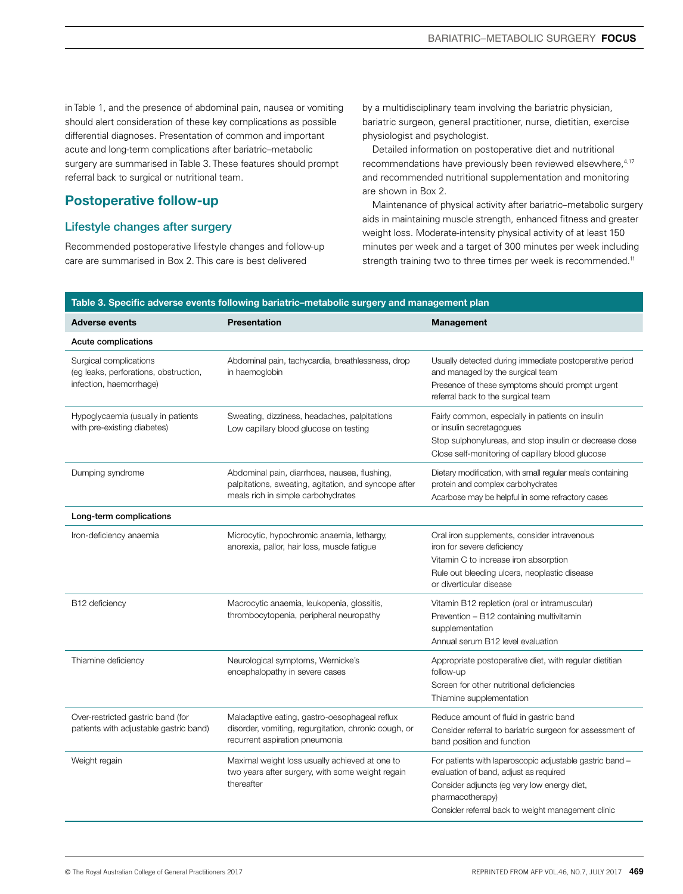in Table 1, and the presence of abdominal pain, nausea or vomiting should alert consideration of these key complications as possible differential diagnoses. Presentation of common and important acute and long-term complications after bariatric–metabolic surgery are summarised in Table 3. These features should prompt referral back to surgical or nutritional team.

# Postoperative follow-up

## Lifestyle changes after surgery

Recommended postoperative lifestyle changes and follow-up care are summarised in Box 2. This care is best delivered

by a multidisciplinary team involving the bariatric physician, bariatric surgeon, general practitioner, nurse, dietitian, exercise physiologist and psychologist.

Detailed information on postoperative diet and nutritional recommendations have previously been reviewed elsewhere, 4,17 and recommended nutritional supplementation and monitoring are shown in Box 2.

Maintenance of physical activity after bariatric–metabolic surgery aids in maintaining muscle strength, enhanced fitness and greater weight loss. Moderate-intensity physical activity of at least 150 minutes per week and a target of 300 minutes per week including strength training two to three times per week is recommended.<sup>11</sup>

| <b>Adverse events</b>                                                                      | <b>Presentation</b>                                                                                                                        | <b>Management</b>                                                                                                                                                                                                           |
|--------------------------------------------------------------------------------------------|--------------------------------------------------------------------------------------------------------------------------------------------|-----------------------------------------------------------------------------------------------------------------------------------------------------------------------------------------------------------------------------|
| Acute complications                                                                        |                                                                                                                                            |                                                                                                                                                                                                                             |
| Surgical complications<br>(eg leaks, perforations, obstruction,<br>infection, haemorrhage) | Abdominal pain, tachycardia, breathlessness, drop<br>in haemoglobin                                                                        | Usually detected during immediate postoperative period<br>and managed by the surgical team<br>Presence of these symptoms should prompt urgent<br>referral back to the surgical team                                         |
| Hypoglycaemia (usually in patients<br>with pre-existing diabetes)                          | Sweating, dizziness, headaches, palpitations<br>Low capillary blood glucose on testing                                                     | Fairly common, especially in patients on insulin<br>or insulin secretagogues<br>Stop sulphonylureas, and stop insulin or decrease dose<br>Close self-monitoring of capillary blood glucose                                  |
| Dumping syndrome                                                                           | Abdominal pain, diarrhoea, nausea, flushing,<br>palpitations, sweating, agitation, and syncope after<br>meals rich in simple carbohydrates | Dietary modification, with small regular meals containing<br>protein and complex carbohydrates<br>Acarbose may be helpful in some refractory cases                                                                          |
| Long-term complications                                                                    |                                                                                                                                            |                                                                                                                                                                                                                             |
| Iron-deficiency anaemia                                                                    | Microcytic, hypochromic anaemia, lethargy,<br>anorexia, pallor, hair loss, muscle fatigue                                                  | Oral iron supplements, consider intravenous<br>iron for severe deficiency<br>Vitamin C to increase iron absorption<br>Rule out bleeding ulcers, neoplastic disease<br>or diverticular disease                               |
| B12 deficiency                                                                             | Macrocytic anaemia, leukopenia, glossitis,<br>thrombocytopenia, peripheral neuropathy                                                      | Vitamin B12 repletion (oral or intramuscular)<br>Prevention - B12 containing multivitamin<br>supplementation<br>Annual serum B12 level evaluation                                                                           |
| Thiamine deficiency                                                                        | Neurological symptoms, Wernicke's<br>encephalopathy in severe cases                                                                        | Appropriate postoperative diet, with regular dietitian<br>follow-up<br>Screen for other nutritional deficiencies<br>Thiamine supplementation                                                                                |
| Over-restricted gastric band (for<br>patients with adjustable gastric band)                | Maladaptive eating, gastro-oesophageal reflux<br>disorder, vomiting, regurgitation, chronic cough, or<br>recurrent aspiration pneumonia    | Reduce amount of fluid in gastric band<br>Consider referral to bariatric surgeon for assessment of<br>band position and function                                                                                            |
| Weight regain                                                                              | Maximal weight loss usually achieved at one to<br>two years after surgery, with some weight regain<br>thereafter                           | For patients with laparoscopic adjustable gastric band -<br>evaluation of band, adjust as required<br>Consider adjuncts (eg very low energy diet,<br>pharmacotherapy)<br>Consider referral back to weight management clinic |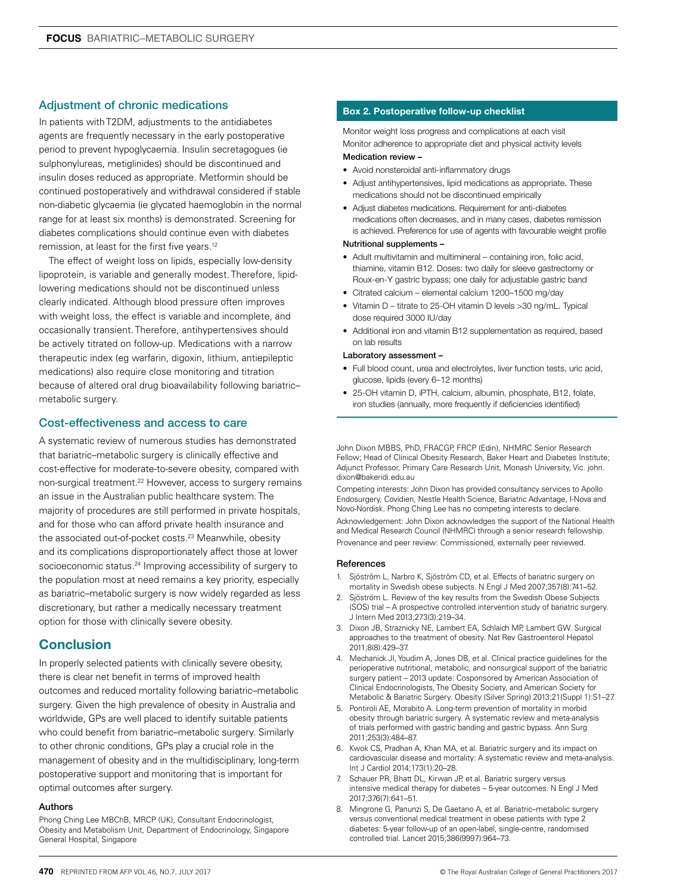## Adjustment of chronic medications

In patients with T2DM, adjustments to the antidiabetes agents are frequently necessary in the early postoperative period to prevent hypoglycaemia. Insulin secretagogues (ie sulphonylureas, metiglinides) should be discontinued and insulin doses reduced as appropriate. Metformin should be continued postoperatively and withdrawal considered if stable non-diabetic glycaemia (ie glycated haemoglobin in the normal range for at least six months) is demonstrated. Screening for diabetes complications should continue even with diabetes remission, at least for the first five years.12

The effect of weight loss on lipids, especially low-density lipoprotein, is variable and generally modest. Therefore, lipidlowering medications should not be discontinued unless clearly indicated. Although blood pressure often improves with weight loss, the effect is variable and incomplete, and occasionally transient. Therefore, antihypertensives should be actively titrated on follow-up. Medications with a narrow therapeutic index (eg warfarin, digoxin, lithium, antiepileptic medications) also require close monitoring and titration because of altered oral drug bioavailability following bariatric– metabolic surgery.

## Cost-effectiveness and access to care

A systematic review of numerous studies has demonstrated that bariatric–metabolic surgery is clinically effective and cost-effective for moderate-to-severe obesity, compared with non-surgical treatment.22 However, access to surgery remains an issue in the Australian public healthcare system. The majority of procedures are still performed in private hospitals, and for those who can afford private health insurance and the associated out-of-pocket costs.<sup>23</sup> Meanwhile, obesity and its complications disproportionately affect those at lower socioeconomic status.<sup>24</sup> Improving accessibility of surgery to the population most at need remains a key priority, especially as bariatric–metabolic surgery is now widely regarded as less discretionary, but rather a medically necessary treatment option for those with clinically severe obesity.

## **Conclusion**

In properly selected patients with clinically severe obesity, there is clear net benefit in terms of improved health outcomes and reduced mortality following bariatric–metabolic surgery. Given the high prevalence of obesity in Australia and worldwide, GPs are well placed to identify suitable patients who could benefit from bariatric–metabolic surgery. Similarly to other chronic conditions, GPs play a crucial role in the management of obesity and in the multidisciplinary, long-term postoperative support and monitoring that is important for optimal outcomes after surgery.

#### Authors

Phong Ching Lee MBChB, MRCP (UK), Consultant Endocrinologist, Obesity and Metabolism Unit, Department of Endocrinology, Singapore General Hospital, Singapore

## **Box 2. Postoperative follow-up checklist**

Monitor weight loss progress and complications at each visit Monitor adherence to appropriate diet and physical activity levels

#### Medication review –

- Avoid nonsteroidal anti-inflammatory drugs
- Adjust antihypertensives, lipid medications as appropriate. These medications should not be discontinued empirically
- Adjust diabetes medications. Requirement for anti-diabetes medications often decreases, and in many cases, diabetes remission is achieved. Preference for use of agents with favourable weight profile

#### Nutritional supplements –

- Adult multivitamin and multimineral containing iron, folic acid, thiamine, vitamin B12. Doses: two daily for sleeve gastrectomy or Roux-en-Y gastric bypass; one daily for adjustable gastric band
- Citrated calcium elemental calcium 1200–1500 mg/day
- Vitamin D titrate to 25-OH vitamin D levels >30 ng/mL. Typical dose required 3000 IU/day
- Additional iron and vitamin B12 supplementation as required, based on lab results

#### Laboratory assessment –

- Full blood count, urea and electrolytes, liver function tests, uric acid, glucose, lipids (every 6–12 months)
- 25-OH vitamin D, iPTH, calcium, albumin, phosphate, B12, folate, iron studies (annually, more frequently if deficiencies identified)

John Dixon MBBS, PhD, FRACGP, FRCP (Edin), NHMRC Senior Research Fellow; Head of Clinical Obesity Research, Baker Heart and Diabetes Institute; Adjunct Professor, Primary Care Research Unit, Monash University, Vic. john. dixon@bakeridi.edu.au

Competing interests: John Dixon has provided consultancy services to Apollo Endosurgery, Covidien, Nestle Health Science, Bariatric Advantage, I-Nova and Novo-Nordisk. Phong Ching Lee has no competing interests to declare. Acknowledgement: John Dixon acknowledges the support of the National Health and Medical Research Council (NHMRC) through a senior research fellowship. Provenance and peer review: Commissioned, externally peer reviewed.

#### References

- 1. Sjöström L, Narbro K, Sjöström CD, et al. Effects of bariatric surgery on mortality in Swedish obese subjects. N Engl J Med 2007;357(8):741–52.
- 2. Sjöström L. Review of the key results from the Swedish Obese Subjects (SOS) trial – A prospective controlled intervention study of bariatric surgery. J Intern Med 2013;273(3):219–34.
- 3. Dixon JB, Straznicky NE, Lambert EA, Schlaich MP, Lambert GW. Surgical approaches to the treatment of obesity. Nat Rev Gastroenterol Hepatol 2011;8(8):429–37.
- 4. Mechanick JI, Youdim A, Jones DB, et al. Clinical practice guidelines for the perioperative nutritional, metabolic, and nonsurgical support of the bariatric surgery patient – 2013 update: Cosponsored by American Association of Clinical Endocrinologists, The Obesity Society, and American Society for Metabolic & Bariatric Surgery. Obesity (Silver Spring) 2013;21(Suppl 1):S1–27.
- 5. Pontiroli AE, Morabito A. Long-term prevention of mortality in morbid obesity through bariatric surgery. A systematic review and meta-analysis of trials performed with gastric banding and gastric bypass. Ann Surg 2011;253(3):484–87.
- 6. Kwok CS, Pradhan A, Khan MA, et al. Bariatric surgery and its impact on cardiovascular disease and mortality: A systematic review and meta-analysis. Int J Cardiol 2014;173(1):20–28.
- 7. Schauer PR, Bhatt DL, Kirwan JP, et al. Bariatric surgery versus intensive medical therapy for diabetes – 5-year outcomes. N Engl J Med 2017;376(7):641–51.
- 8. Mingrone G, Panunzi S, De Gaetano A, et al. Bariatric–metabolic surgery versus conventional medical treatment in obese patients with type 2 diabetes: 5-year follow-up of an open-label, single-centre, randomised controlled trial. Lancet 2015;386(9997):964–73.